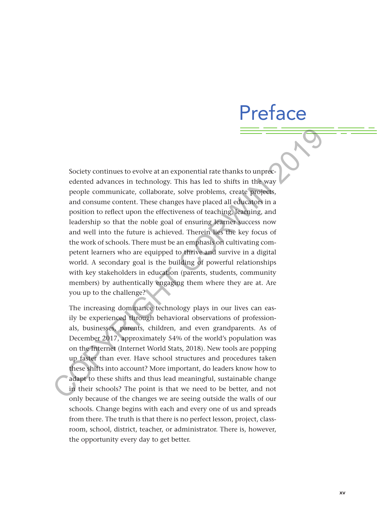# Preface

Society continues to evolve at an exponential rate thanks to unprecedented advances in technology. This has led to shifts in the way people communicate, collaborate, solve problems, create projects, and consume content. These changes have placed all educators in a position to reflect upon the effectiveness of teaching, learning, and leadership so that the noble goal of ensuring learner success now and well into the future is achieved. Therein lies the key focus of the work of schools. There must be an emphasis on cultivating competent learners who are equipped to thrive and survive in a digital world. A secondary goal is the building of powerful relationships with key stakeholders in education (parents, students, community members) by authentically engaging them where they are at. Are you up to the challenge? Society continues to evolve at an exponential rate thanks to unprecentent advances in technology. This has led to shifts in the way people communicate, collaborate, solve problems, create projects, and consume content. The

The increasing dominance technology plays in our lives can easily be experienced through behavioral observations of professionals, businesses, parents, children, and even grandparents. As of December 2017, approximately 54% of the world's population was on the Internet (Internet World Stats, 2018). New tools are popping up faster than ever. Have school structures and procedures taken these shifts into account? More important, do leaders know how to adapt to these shifts and thus lead meaningful, sustainable change in their schools? The point is that we need to be better, and not only because of the changes we are seeing outside the walls of our schools. Change begins with each and every one of us and spreads from there. The truth is that there is no perfect lesson, project, classroom, school, district, teacher, or administrator. There is, however, the opportunity every day to get better.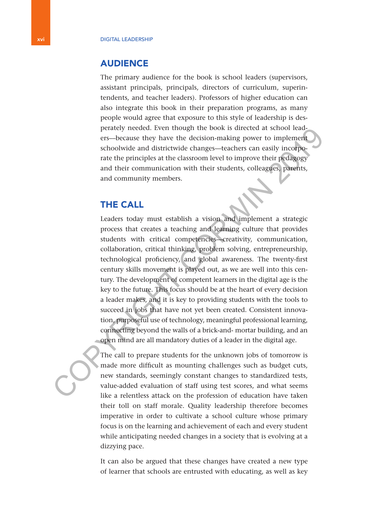#### AUDIENCE

The primary audience for the book is school leaders (supervisors, assistant principals, principals, directors of curriculum, superintendents, and teacher leaders). Professors of higher education can also integrate this book in their preparation programs, as many people would agree that exposure to this style of leadership is desperately needed. Even though the book is directed at school leaders––because they have the decision-making power to implement schoolwide and districtwide changes––teachers can easily incorporate the principles at the classroom level to improve their pedagogy and their communication with their students, colleagues, parents, and community members.

#### THE CALL

Leaders today must establish a vision and implement a strategic process that creates a teaching and learning culture that provides students with critical competencies—creativity, communication, collaboration, critical thinking, problem solving, entrepreneurship, technological proficiency, and global awareness. The twenty-first century skills movement is played out, as we are well into this century. The development of competent learners in the digital age is the key to the future. This focus should be at the heart of every decision a leader makes, and it is key to providing students with the tools to succeed in jobs that have not yet been created. Consistent innovation, purposeful use of technology, meaningful professional learning, connecting beyond the walls of a brick-and- mortar building, and an open mind are all mandatory duties of a leader in the digital age. perate y needs at second lead<br>ers-because they have the decision-making power to implement<br>schoolwide and districtwide changes—icachers can easily incorpo-<br>rate the principles at the classroom level to improve their produc

The call to prepare students for the unknown jobs of tomorrow is made more difficult as mounting challenges such as budget cuts, new standards, seemingly constant changes to standardized tests, value-added evaluation of staff using test scores, and what seems like a relentless attack on the profession of education have taken their toll on staff morale. Quality leadership therefore becomes imperative in order to cultivate a school culture whose primary focus is on the learning and achievement of each and every student while anticipating needed changes in a society that is evolving at a dizzying pace.

It can also be argued that these changes have created a new type of learner that schools are entrusted with educating, as well as key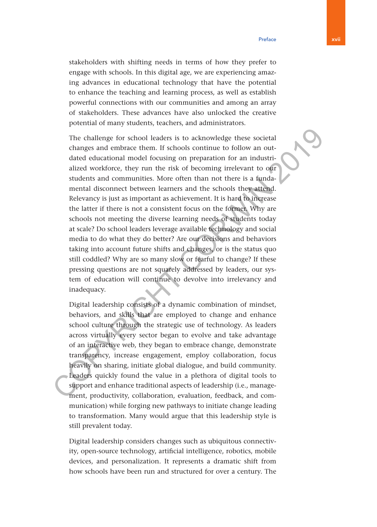stakeholders with shifting needs in terms of how they prefer to engage with schools. In this digital age, we are experiencing amazing advances in educational technology that have the potential to enhance the teaching and learning process, as well as establish powerful connections with our communities and among an array of stakeholders. These advances have also unlocked the creative potential of many students, teachers, and administrators.

The challenge for school leaders is to acknowledge these societal changes and embrace them. If schools continue to follow an outdated educational model focusing on preparation for an industrialized workforce, they run the risk of becoming irrelevant to our students and communities. More often than not there is a fundamental disconnect between learners and the schools they attend. Relevancy is just as important as achievement. It is hard to increase the latter if there is not a consistent focus on the former. Why are schools not meeting the diverse learning needs of students today at scale? Do school leaders leverage available technology and social media to do what they do better? Are our decisions and behaviors taking into account future shifts and changes, or is the status quo still coddled? Why are so many slow or fearful to change? If these pressing questions are not squarely addressed by leaders, our system of education will continue to devolve into irrelevancy and inadequacy. The challenge for school leaders is to acknowledge these societal<br>changes and embrace them. If schools continue to follow an out-<br>dated educational model focusing on perparation for an industri-<br>alized workforce, they run

Digital leadership consists of a dynamic combination of mindset, behaviors, and skills that are employed to change and enhance school culture through the strategic use of technology. As leaders across virtually every sector began to evolve and take advantage of an interactive web, they began to embrace change, demonstrate transparency, increase engagement, employ collaboration, focus heavily on sharing, initiate global dialogue, and build community. Leaders quickly found the value in a plethora of digital tools to support and enhance traditional aspects of leadership (i.e., management, productivity, collaboration, evaluation, feedback, and communication) while forging new pathways to initiate change leading to transformation. Many would argue that this leadership style is still prevalent today.

Digital leadership considers changes such as ubiquitous connectivity, open-source technology, artificial intelligence, robotics, mobile devices, and personalization. It represents a dramatic shift from how schools have been run and structured for over a century. The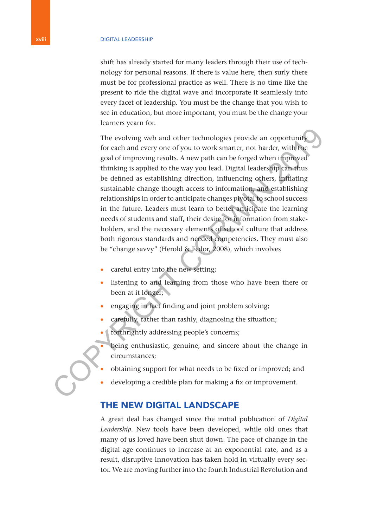shift has already started for many leaders through their use of technology for personal reasons. If there is value here, then surly there must be for professional practice as well. There is no time like the present to ride the digital wave and incorporate it seamlessly into every facet of leadership. You must be the change that you wish to see in education, but more important, you must be the change your learners yearn for.

The evolving web and other technologies provide an opportunity for each and every one of you to work smarter, not harder, with the goal of improving results. A new path can be forged when improved thinking is applied to the way you lead. Digital leadership can thus be defined as establishing direction, influencing others, initiating sustainable change though access to information, and establishing relationships in order to anticipate changes pivotal to school success in the future. Leaders must learn to better anticipate the learning needs of students and staff, their desire for information from stakeholders, and the necessary elements of school culture that address both rigorous standards and needed competencies. They must also be "change savvy" (Herold & Fedor, 2008), which involves The evolving web and other technologies provide an opportunity<br>for each and cvery one of you to work smarter, not harder, with the<br>goal of improving results. A new path can be forged when improved<br>thinking is applied to t

- careful entry into the new setting;
- listening to and learning from those who have been there or been at it longer;
- engaging in fact finding and joint problem solving;
- carefully, rather than rashly, diagnosing the situation;
- forthrightly addressing people's concerns;
- being enthusiastic, genuine, and sincere about the change in circumstances;
- obtaining support for what needs to be fixed or improved; and
- developing a credible plan for making a fix or improvement.

## THE NEW DIGITAL LANDSCAPE

A great deal has changed since the initial publication of *Digital Leadership.* New tools have been developed, while old ones that many of us loved have been shut down. The pace of change in the digital age continues to increase at an exponential rate, and as a result, disruptive innovation has taken hold in virtually every sector. We are moving further into the fourth Industrial Revolution and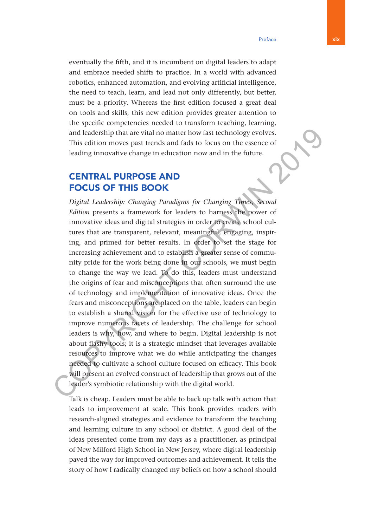eventually the fifth, and it is incumbent on digital leaders to adapt and embrace needed shifts to practice. In a world with advanced robotics, enhanced automation, and evolving artificial intelligence, the need to teach, learn, and lead not only differently, but better, must be a priority. Whereas the first edition focused a great deal on tools and skills, this new edition provides greater attention to the specific competencies needed to transform teaching, learning, and leadership that are vital no matter how fast technology evolves. This edition moves past trends and fads to focus on the essence of leading innovative change in education now and in the future.

# CENTRAL PURPOSE AND FOCUS OF THIS BOOK

*Digital Leadership: Changing Paradigms for Changing Times, Second Edition* presents a framework for leaders to harness the power of innovative ideas and digital strategies in order to create school cultures that are transparent, relevant, meaningful, engaging, inspiring, and primed for better results. In order to set the stage for increasing achievement and to establish a greater sense of community pride for the work being done in our schools, we must begin to change the way we lead. To do this, leaders must understand the origins of fear and misconceptions that often surround the use of technology and implementation of innovative ideas. Once the fears and misconceptions are placed on the table, leaders can begin to establish a shared vision for the effective use of technology to improve numerous facets of leadership. The challenge for school leaders is why, how, and where to begin. Digital leadership is not about flashy tools; it is a strategic mindset that leverages available resources to improve what we do while anticipating the changes needed to cultivate a school culture focused on efficacy. This book will present an evolved construct of leadership that grows out of the leader's symbiotic relationship with the digital world. and leadership that are vital no matter how fast technology evolves.<br>
This edition moves past trends and fads to focus on the essence of<br>
leading innovative change in education now and in the future.<br>
CENTRAL PURPOSE AND<br>

Talk is cheap. Leaders must be able to back up talk with action that leads to improvement at scale. This book provides readers with research-aligned strategies and evidence to transform the teaching and learning culture in any school or district. A good deal of the ideas presented come from my days as a practitioner, as principal of New Milford High School in New Jersey, where digital leadership paved the way for improved outcomes and achievement. It tells the story of how I radically changed my beliefs on how a school should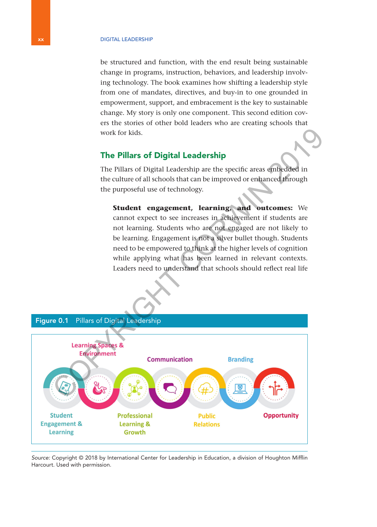be structured and function, with the end result being sustainable change in programs, instruction, behaviors, and leadership involving technology. The book examines how shifting a leadership style from one of mandates, directives, and buy-in to one grounded in empowerment, support, and embracement is the key to sustainable change. My story is only one component. This second edition covers the stories of other bold leaders who are creating schools that work for kids.

## The Pillars of Digital Leadership

The Pillars of Digital Leadership are the specific areas embedded in the culture of all schools that can be improved or enhanced through the purposeful use of technology.

**Student engagement, learning, and outcomes:** We cannot expect to see increases in achievement if students are not learning. Students who are not engaged are not likely to be learning. Engagement is not a silver bullet though. Students need to be empowered to think at the higher levels of cognition while applying what has been learned in relevant contexts. Leaders need to understand that schools should reflect real life



*Source:* Copyright © 2018 by International Center for Leadership in Education, a division of Houghton Mifflin Harcourt. Used with permission.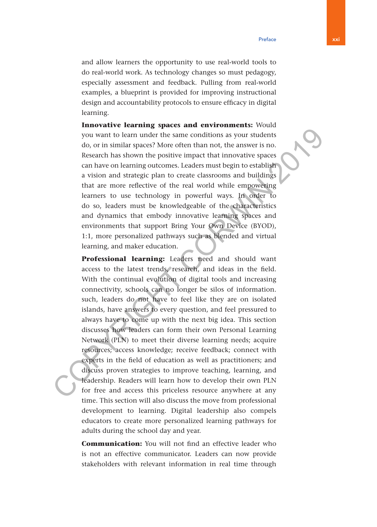and allow learners the opportunity to use real-world tools to do real-world work. As technology changes so must pedagogy, especially assessment and feedback. Pulling from real-world examples, a blueprint is provided for improving instructional design and accountability protocols to ensure efficacy in digital learning.

**Innovative learning spaces and environments:** Would you want to learn under the same conditions as your students do, or in similar spaces? More often than not, the answer is no. Research has shown the positive impact that innovative spaces can have on learning outcomes. Leaders must begin to establish a vision and strategic plan to create classrooms and buildings that are more reflective of the real world while empowering learners to use technology in powerful ways. In order to do so, leaders must be knowledgeable of the characteristics and dynamics that embody innovative learning spaces and environments that support Bring Your Own Device (BYOD), 1:1, more personalized pathways such as blended and virtual learning, and maker education.

**Professional learning:** Leaders need and should want access to the latest trends, research, and ideas in the field. With the continual evolution of digital tools and increasing connectivity, schools can no longer be silos of information. such, leaders do not have to feel like they are on isolated islands, have answers to every question, and feel pressured to always have to come up with the next big idea. This section discusses how leaders can form their own Personal Learning Network (PLN) to meet their diverse learning needs; acquire resources; access knowledge; receive feedback; connect with experts in the field of education as well as practitioners; and discuss proven strategies to improve teaching, learning, and leadership. Readers will learn how to develop their own PLN for free and access this priceless resource anywhere at any time. This section will also discuss the move from professional development to learning. Digital leadership also compels educators to create more personalized learning pathways for adults during the school day and year. From the beam under the same conditions as your students<br>
do, or in similar spaces? More often than not, the answer is no.<br>
Research has shown the positive impact that innovative spaces<br>
can have on learning outcomes. Lead

> **Communication:** You will not find an effective leader who is not an effective communicator. Leaders can now provide stakeholders with relevant information in real time through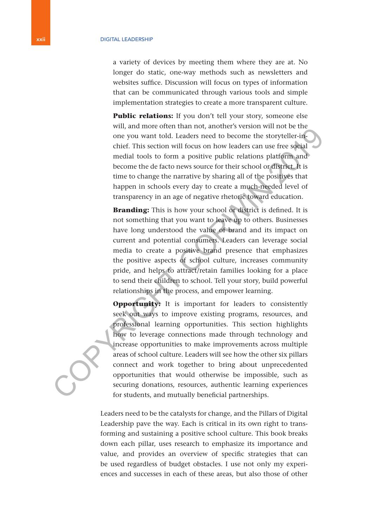a variety of devices by meeting them where they are at. No longer do static, one-way methods such as newsletters and websites suffice. Discussion will focus on types of information that can be communicated through various tools and simple implementation strategies to create a more transparent culture.

**Public relations:** If you don't tell your story, someone else will, and more often than not, another's version will not be the one you want told. Leaders need to become the storyteller-inchief. This section will focus on how leaders can use free social medial tools to form a positive public relations platform and become the de facto news source for their school or district. It is time to change the narrative by sharing all of the positives that happen in schools every day to create a much-needed level of transparency in an age of negative rhetoric toward education.

**Branding:** This is how your school or district is defined. It is not something that you want to leave up to others. Businesses have long understood the value of brand and its impact on current and potential consumers. Leaders can leverage social media to create a positive brand presence that emphasizes the positive aspects of school culture, increases community pride, and helps to attract/retain families looking for a place to send their children to school. Tell your story, build powerful relationships in the process, and empower learning.

**Opportunity:** It is important for leaders to consistently seek out ways to improve existing programs, resources, and professional learning opportunities. This section highlights how to leverage connections made through technology and increase opportunities to make improvements across multiple areas of school culture. Leaders will see how the other six pillars connect and work together to bring about unprecedented opportunities that would otherwise be impossible, such as securing donations, resources, authentic learning experiences for students, and mutually beneficial partnerships. Fin, and mote other train for, another set the temperature of the temperature one you want told. Leaders need to become the stoyteller-inf-<br>chief. This section will focus on how leaders can use free social<br>medial tools to

> Leaders need to be the catalysts for change, and the Pillars of Digital Leadership pave the way. Each is critical in its own right to transforming and sustaining a positive school culture. This book breaks down each pillar, uses research to emphasize its importance and value, and provides an overview of specific strategies that can be used regardless of budget obstacles. I use not only my experiences and successes in each of these areas, but also those of other

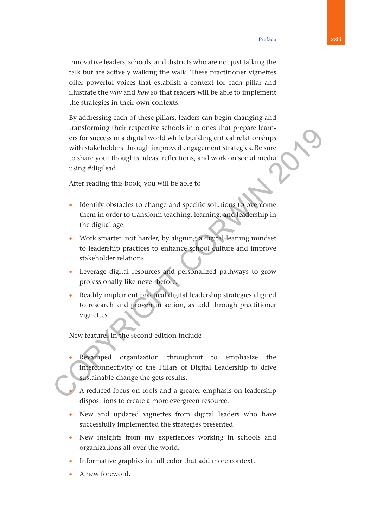#### Preface xxiii

innovative leaders, schools, and districts who are not just talking the talk but are actively walking the walk. These practitioner vignettes offer powerful voices that establish a context for each pillar and illustrate the *why* and *how* so that readers will be able to implement the strategies in their own contexts.

By addressing each of these pillars, leaders can begin changing and transforming their respective schools into ones that prepare learners for success in a digital world while building critical relationships with stakeholders through improved engagement strategies. Be sure to share your thoughts, ideas, reflections, and work on social media using #digilead. transforming their respective schools into ones that prepare learn-<br>
ers for success in a digital world while building critical relationships<br>
with stakeholders throughts, ideas, reflections, and work on social media<br>
usin

After reading this book, you will be able to

- Identify obstacles to change and specific solutions to overcome them in order to transform teaching, learning, and leadership in the digital age.
- Work smarter, not harder, by aligning a digital-leaning mindset to leadership practices to enhance school culture and improve stakeholder relations.
- Leverage digital resources and personalized pathways to grow professionally like never before.
- Readily implement practical digital leadership strategies aligned to research and proven in action, as told through practitioner vignettes.

New features in the second edition include

- Revamped organization throughout to emphasize the interconnectivity of the Pillars of Digital Leadership to drive sustainable change the gets results.
	- A reduced focus on tools and a greater emphasis on leadership dispositions to create a more evergreen resource.
- New and updated vignettes from digital leaders who have successfully implemented the strategies presented.
- New insights from my experiences working in schools and organizations all over the world.
- Informative graphics in full color that add more context.
- A new foreword.